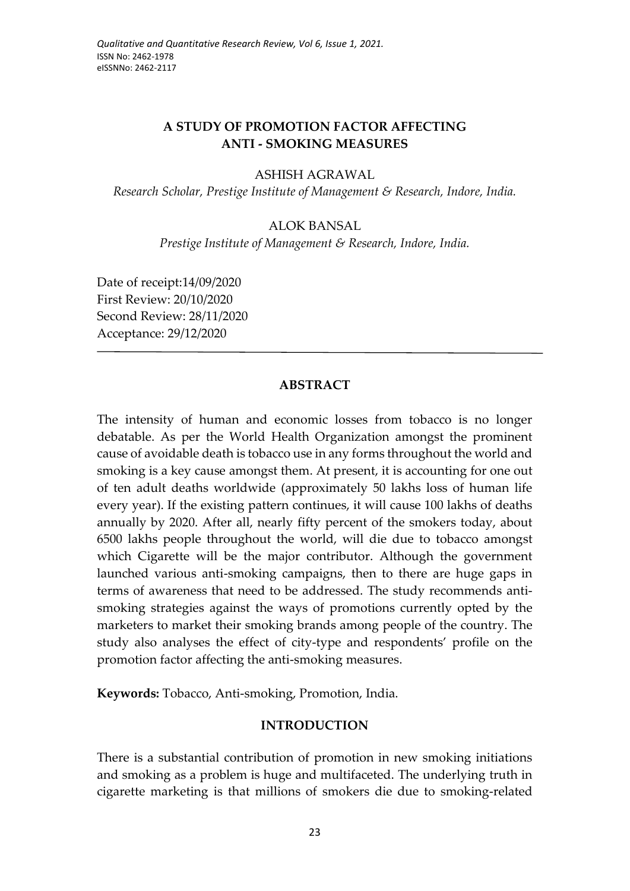# **A STUDY OF PROMOTION FACTOR AFFECTING ANTI - SMOKING MEASURES**

#### ASHISH AGRAWAL

*Research Scholar, Prestige Institute of Management & Research, Indore, India.* 

#### ALOK BANSAL

*Prestige Institute of Management & Research, Indore, India.*

Date of receipt:14/09/2020 First Review: 20/10/2020 Second Review: 28/11/2020 Acceptance: 29/12/2020

#### **ABSTRACT**

The intensity of human and economic losses from tobacco is no longer debatable. As per the World Health Organization amongst the prominent cause of avoidable death is tobacco use in any forms throughout the world and smoking is a key cause amongst them. At present, it is accounting for one out of ten adult deaths worldwide (approximately 50 lakhs loss of human life every year). If the existing pattern continues, it will cause 100 lakhs of deaths annually by 2020. After all, nearly fifty percent of the smokers today, about 6500 lakhs people throughout the world, will die due to tobacco amongst which Cigarette will be the major contributor. Although the government launched various anti-smoking campaigns, then to there are huge gaps in terms of awareness that need to be addressed. The study recommends antismoking strategies against the ways of promotions currently opted by the marketers to market their smoking brands among people of the country. The study also analyses the effect of city-type and respondents' profile on the promotion factor affecting the anti-smoking measures.

**Keywords:** Tobacco, Anti-smoking, Promotion, India.

#### **INTRODUCTION**

There is a substantial contribution of promotion in new smoking initiations and smoking as a problem is huge and multifaceted. The underlying truth in cigarette marketing is that millions of smokers die due to smoking-related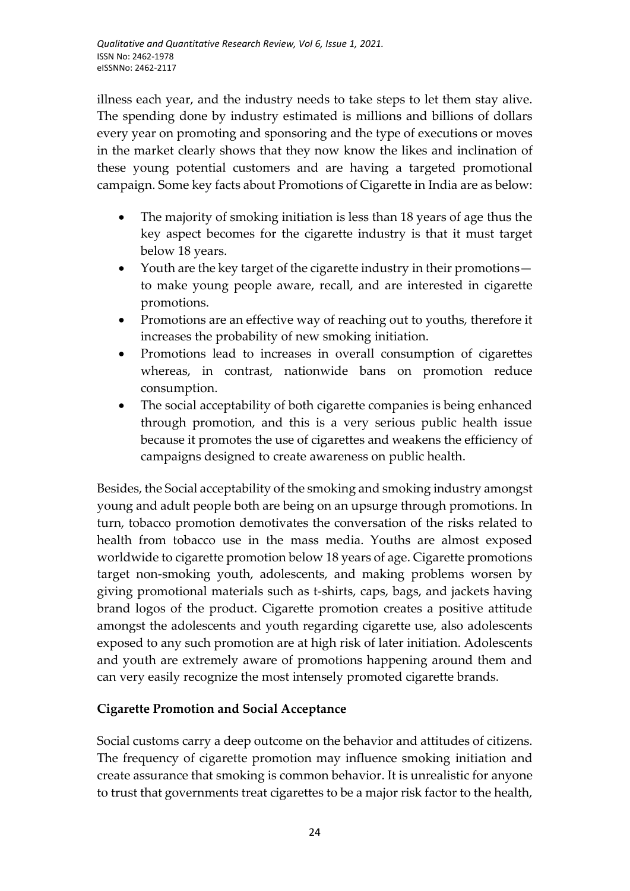illness each year, and the industry needs to take steps to let them stay alive. The spending done by industry estimated is millions and billions of dollars every year on promoting and sponsoring and the type of executions or moves in the market clearly shows that they now know the likes and inclination of these young potential customers and are having a targeted promotional campaign. Some key facts about Promotions of Cigarette in India are as below:

- The majority of smoking initiation is less than 18 years of age thus the key aspect becomes for the cigarette industry is that it must target below 18 years.
- Youth are the key target of the cigarette industry in their promotions to make young people aware, recall, and are interested in cigarette promotions.
- Promotions are an effective way of reaching out to youths, therefore it increases the probability of new smoking initiation.
- Promotions lead to increases in overall consumption of cigarettes whereas, in contrast, nationwide bans on promotion reduce consumption.
- The social acceptability of both cigarette companies is being enhanced through promotion, and this is a very serious public health issue because it promotes the use of cigarettes and weakens the efficiency of campaigns designed to create awareness on public health.

Besides, the Social acceptability of the smoking and smoking industry amongst young and adult people both are being on an upsurge through promotions. In turn, tobacco promotion demotivates the conversation of the risks related to health from tobacco use in the mass media. Youths are almost exposed worldwide to cigarette promotion below 18 years of age. Cigarette promotions target non-smoking youth, adolescents, and making problems worsen by giving promotional materials such as t-shirts, caps, bags, and jackets having brand logos of the product. Cigarette promotion creates a positive attitude amongst the adolescents and youth regarding cigarette use, also adolescents exposed to any such promotion are at high risk of later initiation. Adolescents and youth are extremely aware of promotions happening around them and can very easily recognize the most intensely promoted cigarette brands.

# **Cigarette Promotion and Social Acceptance**

Social customs carry a deep outcome on the behavior and attitudes of citizens. The frequency of cigarette promotion may influence smoking initiation and create assurance that smoking is common behavior. It is unrealistic for anyone to trust that governments treat cigarettes to be a major risk factor to the health,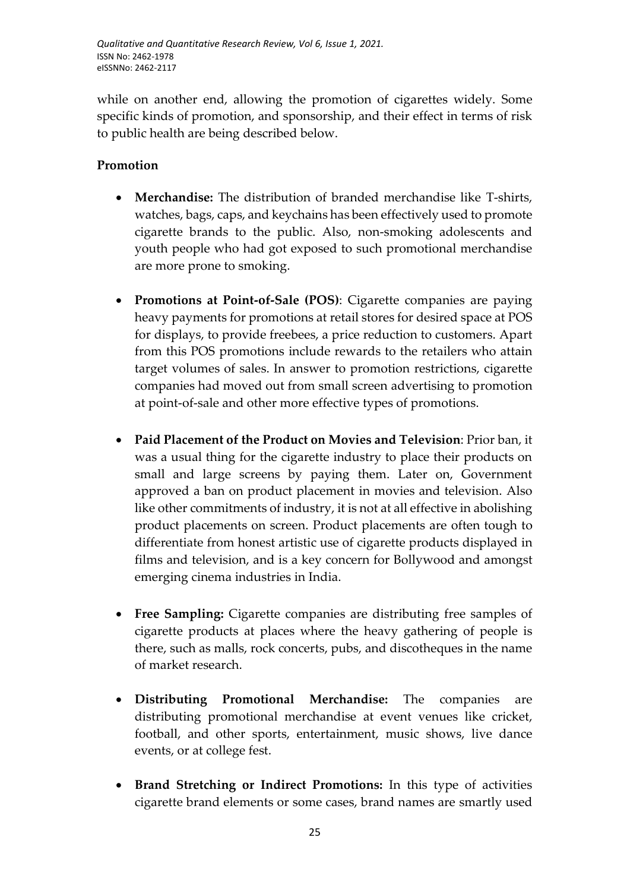while on another end, allowing the promotion of cigarettes widely. Some specific kinds of promotion, and sponsorship, and their effect in terms of risk to public health are being described below.

# **Promotion**

- **Merchandise:** The distribution of branded merchandise like T-shirts, watches, bags, caps, and keychains has been effectively used to promote cigarette brands to the public. Also, non-smoking adolescents and youth people who had got exposed to such promotional merchandise are more prone to smoking.
- **Promotions at Point-of-Sale (POS)**: Cigarette companies are paying heavy payments for promotions at retail stores for desired space at POS for displays, to provide freebees, a price reduction to customers. Apart from this POS promotions include rewards to the retailers who attain target volumes of sales. In answer to promotion restrictions, cigarette companies had moved out from small screen advertising to promotion at point-of-sale and other more effective types of promotions.
- **Paid Placement of the Product on Movies and Television**: Prior ban, it was a usual thing for the cigarette industry to place their products on small and large screens by paying them. Later on, Government approved a ban on product placement in movies and television. Also like other commitments of industry, it is not at all effective in abolishing product placements on screen. Product placements are often tough to differentiate from honest artistic use of cigarette products displayed in films and television, and is a key concern for Bollywood and amongst emerging cinema industries in India.
- **Free Sampling:** Cigarette companies are distributing free samples of cigarette products at places where the heavy gathering of people is there, such as malls, rock concerts, pubs, and discotheques in the name of market research.
- **Distributing Promotional Merchandise:** The companies are distributing promotional merchandise at event venues like cricket, football, and other sports, entertainment, music shows, live dance events, or at college fest.
- **Brand Stretching or Indirect Promotions:** In this type of activities cigarette brand elements or some cases, brand names are smartly used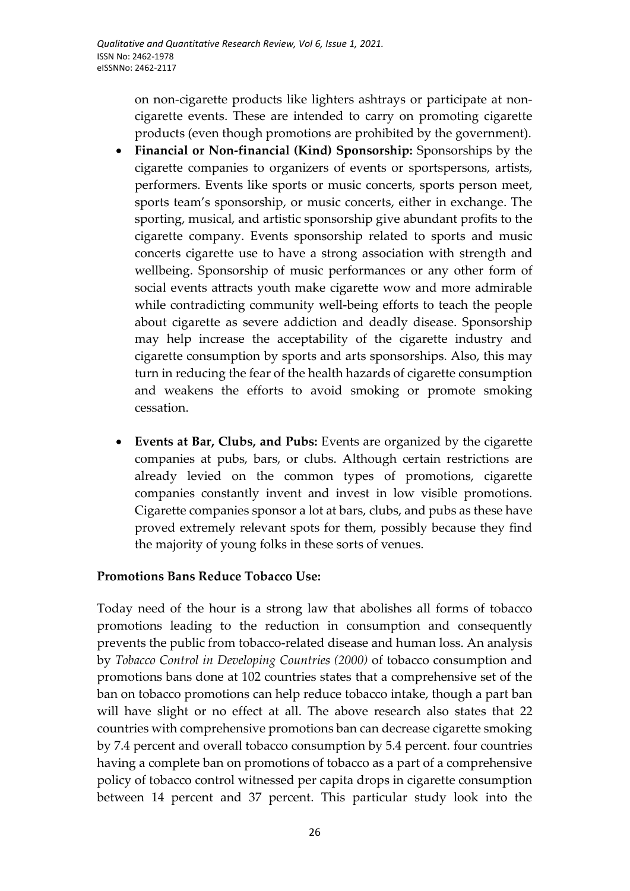on non-cigarette products like lighters ashtrays or participate at noncigarette events. These are intended to carry on promoting cigarette products (even though promotions are prohibited by the government).

- **Financial or Non-financial (Kind) Sponsorship:** Sponsorships by the cigarette companies to organizers of events or sportspersons, artists, performers. Events like sports or music concerts, sports person meet, sports team's sponsorship, or music concerts, either in exchange. The sporting, musical, and artistic sponsorship give abundant profits to the cigarette company. Events sponsorship related to sports and music concerts cigarette use to have a strong association with strength and wellbeing. Sponsorship of music performances or any other form of social events attracts youth make cigarette wow and more admirable while contradicting community well-being efforts to teach the people about cigarette as severe addiction and deadly disease. Sponsorship may help increase the acceptability of the cigarette industry and cigarette consumption by sports and arts sponsorships. Also, this may turn in reducing the fear of the health hazards of cigarette consumption and weakens the efforts to avoid smoking or promote smoking cessation.
- **Events at Bar, Clubs, and Pubs:** Events are organized by the cigarette companies at pubs, bars, or clubs. Although certain restrictions are already levied on the common types of promotions, cigarette companies constantly invent and invest in low visible promotions. Cigarette companies sponsor a lot at bars, clubs, and pubs as these have proved extremely relevant spots for them, possibly because they find the majority of young folks in these sorts of venues.

# **Promotions Bans Reduce Tobacco Use:**

Today need of the hour is a strong law that abolishes all forms of tobacco promotions leading to the reduction in consumption and consequently prevents the public from tobacco-related disease and human loss. An analysis by *Tobacco Control in Developing Countries (2000)* of tobacco consumption and promotions bans done at 102 countries states that a comprehensive set of the ban on tobacco promotions can help reduce tobacco intake, though a part ban will have slight or no effect at all. The above research also states that 22 countries with comprehensive promotions ban can decrease cigarette smoking by 7.4 percent and overall tobacco consumption by 5.4 percent. four countries having a complete ban on promotions of tobacco as a part of a comprehensive policy of tobacco control witnessed per capita drops in cigarette consumption between 14 percent and 37 percent. This particular study look into the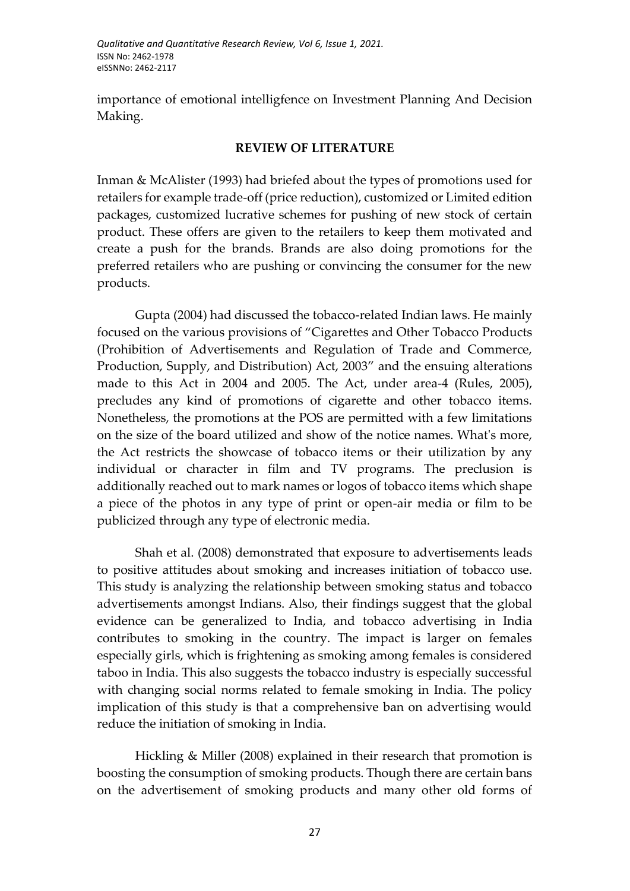importance of emotional intelligfence on Investment Planning And Decision Making.

#### **REVIEW OF LITERATURE**

Inman & McAlister (1993) had briefed about the types of promotions used for retailers for example trade-off (price reduction), customized or Limited edition packages, customized lucrative schemes for pushing of new stock of certain product. These offers are given to the retailers to keep them motivated and create a push for the brands. Brands are also doing promotions for the preferred retailers who are pushing or convincing the consumer for the new products.

Gupta (2004) had discussed the tobacco-related Indian laws. He mainly focused on the various provisions of "Cigarettes and Other Tobacco Products (Prohibition of Advertisements and Regulation of Trade and Commerce, Production, Supply, and Distribution) Act, 2003" and the ensuing alterations made to this Act in 2004 and 2005. The Act, under area-4 (Rules, 2005), precludes any kind of promotions of cigarette and other tobacco items. Nonetheless, the promotions at the POS are permitted with a few limitations on the size of the board utilized and show of the notice names. What's more, the Act restricts the showcase of tobacco items or their utilization by any individual or character in film and TV programs. The preclusion is additionally reached out to mark names or logos of tobacco items which shape a piece of the photos in any type of print or open-air media or film to be publicized through any type of electronic media.

Shah et al. (2008) demonstrated that exposure to advertisements leads to positive attitudes about smoking and increases initiation of tobacco use. This study is analyzing the relationship between smoking status and tobacco advertisements amongst Indians. Also, their findings suggest that the global evidence can be generalized to India, and tobacco advertising in India contributes to smoking in the country. The impact is larger on females especially girls, which is frightening as smoking among females is considered taboo in India. This also suggests the tobacco industry is especially successful with changing social norms related to female smoking in India. The policy implication of this study is that a comprehensive ban on advertising would reduce the initiation of smoking in India.

Hickling & Miller (2008) explained in their research that promotion is boosting the consumption of smoking products. Though there are certain bans on the advertisement of smoking products and many other old forms of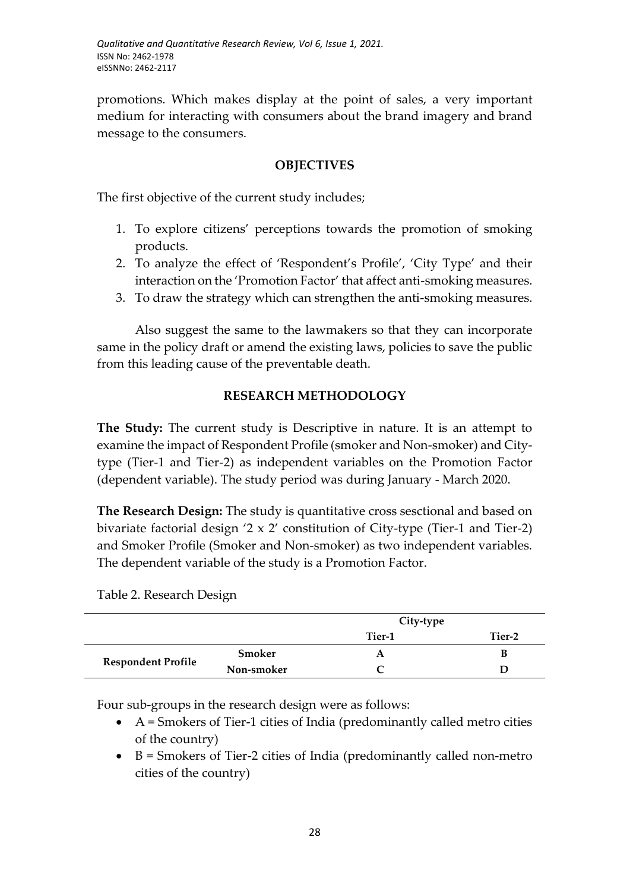promotions. Which makes display at the point of sales, a very important medium for interacting with consumers about the brand imagery and brand message to the consumers.

### **OBJECTIVES**

The first objective of the current study includes;

- 1. To explore citizens' perceptions towards the promotion of smoking products.
- 2. To analyze the effect of 'Respondent's Profile', 'City Type' and their interaction on the 'Promotion Factor' that affect anti-smoking measures.
- 3. To draw the strategy which can strengthen the anti-smoking measures.

Also suggest the same to the lawmakers so that they can incorporate same in the policy draft or amend the existing laws, policies to save the public from this leading cause of the preventable death.

# **RESEARCH METHODOLOGY**

**The Study:** The current study is Descriptive in nature. It is an attempt to examine the impact of Respondent Profile (smoker and Non-smoker) and Citytype (Tier-1 and Tier-2) as independent variables on the Promotion Factor (dependent variable). The study period was during January - March 2020.

**The Research Design:** The study is quantitative cross sesctional and based on bivariate factorial design '2 x 2' constitution of City-type (Tier-1 and Tier-2) and Smoker Profile (Smoker and Non-smoker) as two independent variables. The dependent variable of the study is a Promotion Factor.

Table 2. Research Design

|                           |            | City-type |        |
|---------------------------|------------|-----------|--------|
|                           |            | Tier-1    | Tier-2 |
| <b>Respondent Profile</b> | Smoker     |           | В      |
|                           | Non-smoker |           |        |

Four sub-groups in the research design were as follows:

- $\bullet$  A = Smokers of Tier-1 cities of India (predominantly called metro cities of the country)
- $\bullet$  B = Smokers of Tier-2 cities of India (predominantly called non-metro cities of the country)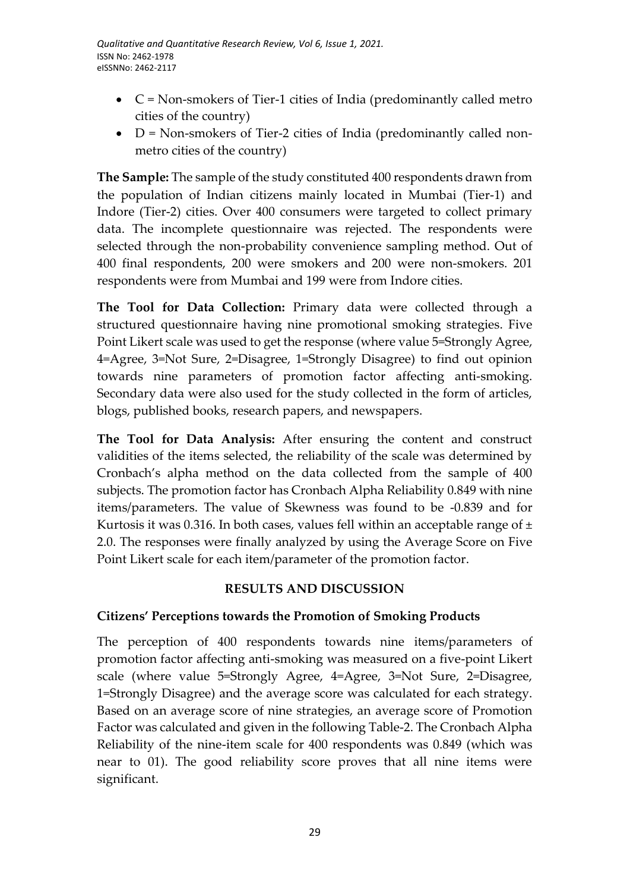- C = Non-smokers of Tier-1 cities of India (predominantly called metro cities of the country)
- $\bullet$  D = Non-smokers of Tier-2 cities of India (predominantly called nonmetro cities of the country)

**The Sample:** The sample of the study constituted 400 respondents drawn from the population of Indian citizens mainly located in Mumbai (Tier-1) and Indore (Tier-2) cities. Over 400 consumers were targeted to collect primary data. The incomplete questionnaire was rejected. The respondents were selected through the non-probability convenience sampling method. Out of 400 final respondents, 200 were smokers and 200 were non-smokers. 201 respondents were from Mumbai and 199 were from Indore cities.

**The Tool for Data Collection:** Primary data were collected through a structured questionnaire having nine promotional smoking strategies. Five Point Likert scale was used to get the response (where value 5=Strongly Agree, 4=Agree, 3=Not Sure, 2=Disagree, 1=Strongly Disagree) to find out opinion towards nine parameters of promotion factor affecting anti-smoking. Secondary data were also used for the study collected in the form of articles, blogs, published books, research papers, and newspapers.

**The Tool for Data Analysis:** After ensuring the content and construct validities of the items selected, the reliability of the scale was determined by Cronbach's alpha method on the data collected from the sample of 400 subjects. The promotion factor has Cronbach Alpha Reliability 0.849 with nine items/parameters. The value of Skewness was found to be -0.839 and for Kurtosis it was 0.316. In both cases, values fell within an acceptable range of  $\pm$ 2.0. The responses were finally analyzed by using the Average Score on Five Point Likert scale for each item/parameter of the promotion factor.

# **RESULTS AND DISCUSSION**

# **Citizens' Perceptions towards the Promotion of Smoking Products**

The perception of 400 respondents towards nine items/parameters of promotion factor affecting anti-smoking was measured on a five-point Likert scale (where value 5=Strongly Agree, 4=Agree, 3=Not Sure, 2=Disagree, 1=Strongly Disagree) and the average score was calculated for each strategy. Based on an average score of nine strategies, an average score of Promotion Factor was calculated and given in the following Table-2. The Cronbach Alpha Reliability of the nine-item scale for 400 respondents was 0.849 (which was near to 01). The good reliability score proves that all nine items were significant.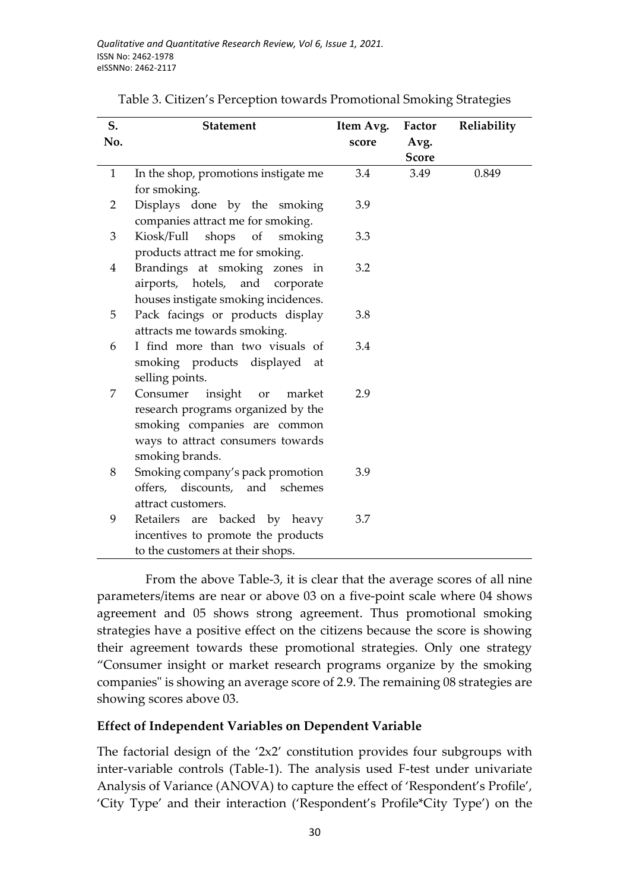| S.<br>No.    | <b>Statement</b>                     | Item Avg.<br>score | Factor<br>Avg. | Reliability |
|--------------|--------------------------------------|--------------------|----------------|-------------|
|              |                                      |                    | <b>Score</b>   |             |
| $\mathbf{1}$ | In the shop, promotions instigate me | 3.4                | 3.49           | 0.849       |
|              | for smoking.                         |                    |                |             |
| 2            | Displays done by the smoking         | 3.9                |                |             |
|              | companies attract me for smoking.    |                    |                |             |
| 3            | Kiosk/Full<br>shops<br>of<br>smoking | 3.3                |                |             |
|              | products attract me for smoking.     |                    |                |             |
| 4            | Brandings at smoking zones in        | 3.2                |                |             |
|              | airports, hotels, and<br>corporate   |                    |                |             |
|              | houses instigate smoking incidences. |                    |                |             |
| 5            | Pack facings or products display     | 3.8                |                |             |
|              | attracts me towards smoking.         |                    |                |             |
| 6            | I find more than two visuals of      | 3.4                |                |             |
|              | smoking products displayed at        |                    |                |             |
|              | selling points.                      |                    |                |             |
| 7            | Consumer insight or<br>market        | 2.9                |                |             |
|              | research programs organized by the   |                    |                |             |
|              | smoking companies are common         |                    |                |             |
|              | ways to attract consumers towards    |                    |                |             |
|              | smoking brands.                      |                    |                |             |
| 8            | Smoking company's pack promotion     | 3.9                |                |             |
|              | offers, discounts, and schemes       |                    |                |             |
|              | attract customers.                   |                    |                |             |
| 9            | Retailers are backed by heavy        | 3.7                |                |             |
|              | incentives to promote the products   |                    |                |             |
|              | to the customers at their shops.     |                    |                |             |

Table 3. Citizen's Perception towards Promotional Smoking Strategies

From the above Table-3, it is clear that the average scores of all nine parameters/items are near or above 03 on a five-point scale where 04 shows agreement and 05 shows strong agreement. Thus promotional smoking strategies have a positive effect on the citizens because the score is showing their agreement towards these promotional strategies. Only one strategy "Consumer insight or market research programs organize by the smoking companies" is showing an average score of 2.9. The remaining 08 strategies are showing scores above 03.

### **Effect of Independent Variables on Dependent Variable**

The factorial design of the '2x2' constitution provides four subgroups with inter-variable controls (Table-1). The analysis used F-test under univariate Analysis of Variance (ANOVA) to capture the effect of 'Respondent's Profile', 'City Type' and their interaction ('Respondent's Profile\*City Type') on the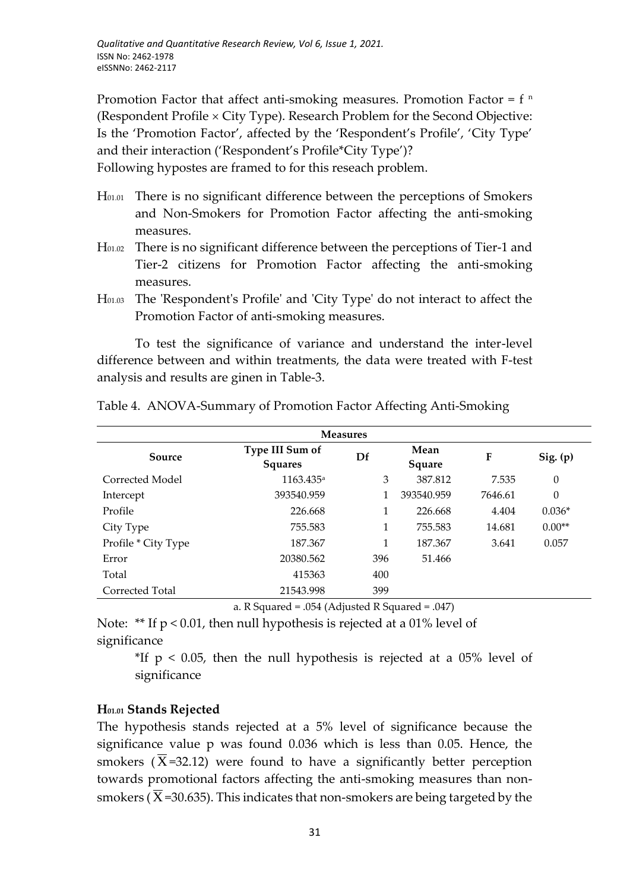Promotion Factor that affect anti-smoking measures. Promotion Factor =  $f<sup>n</sup>$ (Respondent Profile  $\times$  City Type). Research Problem for the Second Objective: Is the 'Promotion Factor', affected by the 'Respondent's Profile', 'City Type' and their interaction ('Respondent's Profile\*City Type')?

Following hypostes are framed to for this reseach problem.

- H01.01 There is no significant difference between the perceptions of Smokers and Non-Smokers for Promotion Factor affecting the anti-smoking measures.
- H01.02 There is no significant difference between the perceptions of Tier-1 and Tier-2 citizens for Promotion Factor affecting the anti-smoking measures.
- H01.03 The 'Respondent's Profile' and 'City Type' do not interact to affect the Promotion Factor of anti-smoking measures.

To test the significance of variance and understand the inter-level difference between and within treatments, the data were treated with F-test analysis and results are ginen in Table-3.

| <b>Measures</b>     |                                   |     |                |         |                |
|---------------------|-----------------------------------|-----|----------------|---------|----------------|
| Source              | Type III Sum of<br><b>Squares</b> | Df  | Mean<br>Square | F       | Sig. (p)       |
| Corrected Model     | 1163.435 <sup>a</sup>             | 3   | 387.812        | 7.535   | $\overline{0}$ |
| Intercept           | 393540.959                        |     | 393540.959     | 7646.61 | 0              |
| Profile             | 226.668                           | 1   | 226.668        | 4.404   | $0.036*$       |
| City Type           | 755.583                           | 1   | 755.583        | 14.681  | $0.00**$       |
| Profile * City Type | 187.367                           | 1   | 187.367        | 3.641   | 0.057          |
| Error               | 20380.562                         | 396 | 51.466         |         |                |
| Total               | 415363                            | 400 |                |         |                |
| Corrected Total     | 21543.998                         | 399 |                |         |                |

Table 4. ANOVA-Summary of Promotion Factor Affecting Anti-Smoking

a. R Squared = .054 (Adjusted R Squared = .047)

Note: \*\* If p < 0.01, then null hypothesis is rejected at a 01% level of significance

<sup>\*</sup>If  $p < 0.05$ , then the null hypothesis is rejected at a 05% level of significance

### **H01.01 Stands Rejected**

The hypothesis stands rejected at a 5% level of significance because the significance value p was found 0.036 which is less than 0.05. Hence, the smokers ( $\overline{X}$ =32.12) were found to have a significantly better perception towards promotional factors affecting the anti-smoking measures than nonsmokers ( $\overline{X}$ =30.635). This indicates that non-smokers are being targeted by the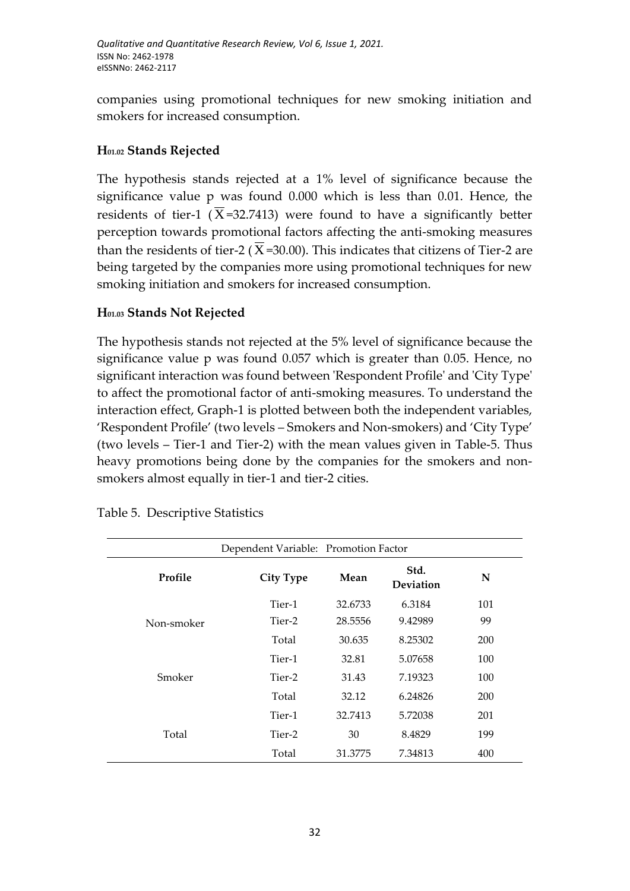companies using promotional techniques for new smoking initiation and smokers for increased consumption.

# **H01.02 Stands Rejected**

The hypothesis stands rejected at a 1% level of significance because the significance value p was found 0.000 which is less than 0.01. Hence, the residents of tier-1 ( $\overline{X}$ =32.7413) were found to have a significantly better perception towards promotional factors affecting the anti-smoking measures than the residents of tier-2 ( $\overline{X}$ =30.00). This indicates that citizens of Tier-2 are being targeted by the companies more using promotional techniques for new smoking initiation and smokers for increased consumption.

# **H01.03 Stands Not Rejected**

The hypothesis stands not rejected at the 5% level of significance because the significance value p was found 0.057 which is greater than 0.05. Hence, no significant interaction was found between 'Respondent Profile' and 'City Type' to affect the promotional factor of anti-smoking measures. To understand the interaction effect, Graph-1 is plotted between both the independent variables, 'Respondent Profile' (two levels – Smokers and Non-smokers) and 'City Type' (two levels – Tier-1 and Tier-2) with the mean values given in Table-5. Thus heavy promotions being done by the companies for the smokers and nonsmokers almost equally in tier-1 and tier-2 cities.

| Dependent Variable: Promotion Factor |                  |         |                   |     |  |  |
|--------------------------------------|------------------|---------|-------------------|-----|--|--|
| Profile                              | <b>City Type</b> | Mean    | Std.<br>Deviation | N   |  |  |
| Non-smoker                           | Tier-1           | 32.6733 | 6.3184            | 101 |  |  |
|                                      | Tier-2           | 28.5556 | 9.42989           | 99  |  |  |
|                                      | Total            | 30.635  | 8.25302           | 200 |  |  |
| Smoker                               | Tier-1           | 32.81   | 5.07658           | 100 |  |  |
|                                      | Tier-2           | 31.43   | 7.19323           | 100 |  |  |
|                                      | Total            | 32.12   | 6.24826           | 200 |  |  |
| Total                                | Tier-1           | 32.7413 | 5.72038           | 201 |  |  |
|                                      | Tier-2           | 30      | 8.4829            | 199 |  |  |
|                                      | Total            | 31.3775 | 7.34813           | 400 |  |  |

Table 5. Descriptive Statistics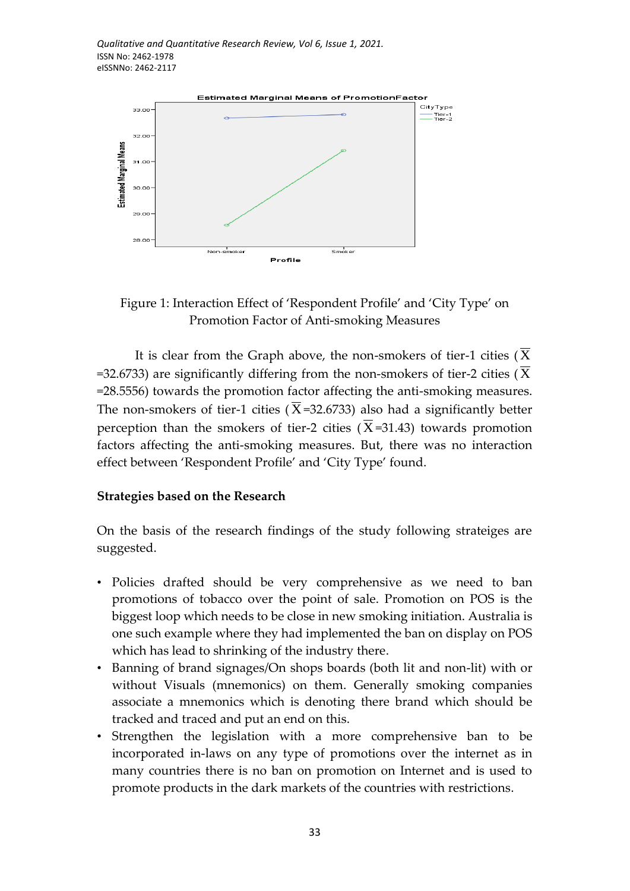

Figure 1: Interaction Effect of 'Respondent Profile' and 'City Type' on Promotion Factor of Anti-smoking Measures

It is clear from the Graph above, the non-smokers of tier-1 cities (  $\overline{\mathrm{X}}$ =32.6733) are significantly differing from the non-smokers of tier-2 cities ( X =28.5556) towards the promotion factor affecting the anti-smoking measures. The non-smokers of tier-1 cities ( $\overline{X}$ =32.6733) also had a significantly better perception than the smokers of tier-2 cities ( $\overline{X}$ =31.43) towards promotion factors affecting the anti-smoking measures. But, there was no interaction effect between 'Respondent Profile' and 'City Type' found.

#### **Strategies based on the Research**

On the basis of the research findings of the study following strateiges are suggested.

- Policies drafted should be very comprehensive as we need to ban promotions of tobacco over the point of sale. Promotion on POS is the biggest loop which needs to be close in new smoking initiation. Australia is one such example where they had implemented the ban on display on POS which has lead to shrinking of the industry there.
- Banning of brand signages/On shops boards (both lit and non-lit) with or without Visuals (mnemonics) on them. Generally smoking companies associate a mnemonics which is denoting there brand which should be tracked and traced and put an end on this.
- Strengthen the legislation with a more comprehensive ban to be incorporated in-laws on any type of promotions over the internet as in many countries there is no ban on promotion on Internet and is used to promote products in the dark markets of the countries with restrictions.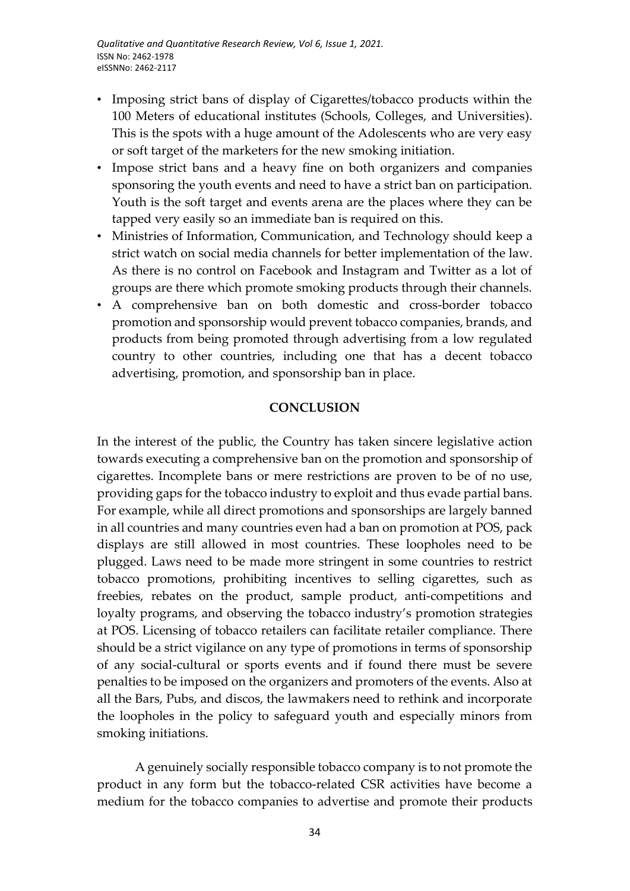- Imposing strict bans of display of Cigarettes/tobacco products within the 100 Meters of educational institutes (Schools, Colleges, and Universities). This is the spots with a huge amount of the Adolescents who are very easy or soft target of the marketers for the new smoking initiation.
- Impose strict bans and a heavy fine on both organizers and companies sponsoring the youth events and need to have a strict ban on participation. Youth is the soft target and events arena are the places where they can be tapped very easily so an immediate ban is required on this.
- Ministries of Information, Communication, and Technology should keep a strict watch on social media channels for better implementation of the law. As there is no control on Facebook and Instagram and Twitter as a lot of groups are there which promote smoking products through their channels.
- A comprehensive ban on both domestic and cross-border tobacco promotion and sponsorship would prevent tobacco companies, brands, and products from being promoted through advertising from a low regulated country to other countries, including one that has a decent tobacco advertising, promotion, and sponsorship ban in place.

#### **CONCLUSION**

In the interest of the public, the Country has taken sincere legislative action towards executing a comprehensive ban on the promotion and sponsorship of cigarettes. Incomplete bans or mere restrictions are proven to be of no use, providing gaps for the tobacco industry to exploit and thus evade partial bans. For example, while all direct promotions and sponsorships are largely banned in all countries and many countries even had a ban on promotion at POS, pack displays are still allowed in most countries. These loopholes need to be plugged. Laws need to be made more stringent in some countries to restrict tobacco promotions, prohibiting incentives to selling cigarettes, such as freebies, rebates on the product, sample product, anti-competitions and loyalty programs, and observing the tobacco industry's promotion strategies at POS. Licensing of tobacco retailers can facilitate retailer compliance. There should be a strict vigilance on any type of promotions in terms of sponsorship of any social-cultural or sports events and if found there must be severe penalties to be imposed on the organizers and promoters of the events. Also at all the Bars, Pubs, and discos, the lawmakers need to rethink and incorporate the loopholes in the policy to safeguard youth and especially minors from smoking initiations.

A genuinely socially responsible tobacco company is to not promote the product in any form but the tobacco-related CSR activities have become a medium for the tobacco companies to advertise and promote their products